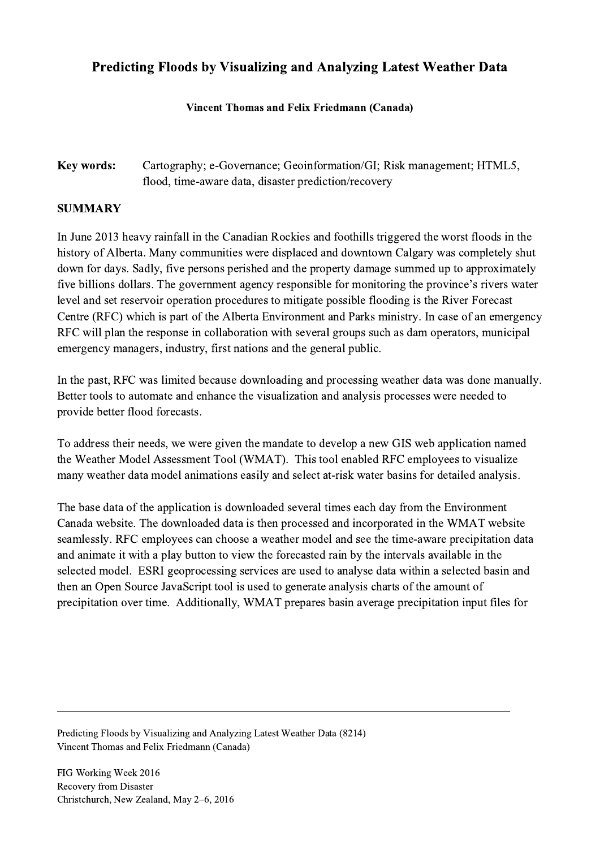## Predicting Floods by Visualizing and Analyzing Latest Weather Data

## Vincent Thomas and Felix Friedmann (Canada)

## Key words: Cartography; e-Governance; Geoinformation/GI; Risk management; HTML5, flood, time-aware data, disaster prediction/recovery

## SUMMARY

In June 2013 heavy rainfall in the Canadian Rockies and foothills triggered the worst floods in the history of Alberta. Many communities were displaced and downtown Calgary was completely shut down for days. Sadly, five persons perished and the property damage summed up to approximately five billions dollars. The government agency responsible for monitoring the province's rivers water level and set reservoir operation procedures to mitigate possible flooding is the River Forecast Centre (RFC) which is part of the Alberta Environment and Parks ministry. In case of an emergency RFC will plan the response in collaboration with several groups such as dam operators, municipal emergency managers, industry, first nations and the general public.

In the past, RFC was limited because downloading and processing weather data was done manually. Better tools to automate and enhance the visualization and analysis processes were needed to provide better flood forecasts.

To address their needs, we were given the mandate to develop a new GIS web application named the Weather Model Assessment Tool (WMAT). This tool enabled RFC employees to visualize many weather data model animations easily and select at-risk water basins for detailed analysis.

The base data of the application is downloaded several times each day from the Environment Canada website. The downloaded data is then processed and incorporated in the WMAT website seamlessly. RFC employees can choose a weather model and see the time-aware precipitation data and animate it with a play button to view the forecasted rain by the intervals available in the selected model. ESRI geoprocessing services are used to analyse data within a selected basin and then an Open Source JavaScript tool is used to generate analysis charts of the amount of precipitation over time. Additionally, WMAT prepares basin average precipitation input files for

 $\mathcal{L}_\mathcal{L} = \{ \mathcal{L}_\mathcal{L} = \{ \mathcal{L}_\mathcal{L} = \{ \mathcal{L}_\mathcal{L} = \{ \mathcal{L}_\mathcal{L} = \{ \mathcal{L}_\mathcal{L} = \{ \mathcal{L}_\mathcal{L} = \{ \mathcal{L}_\mathcal{L} = \{ \mathcal{L}_\mathcal{L} = \{ \mathcal{L}_\mathcal{L} = \{ \mathcal{L}_\mathcal{L} = \{ \mathcal{L}_\mathcal{L} = \{ \mathcal{L}_\mathcal{L} = \{ \mathcal{L}_\mathcal{L} = \{ \mathcal{L}_\mathcal{$ 

Predicting Floods by Visualizing and Analyzing Latest Weather Data (8214) Vincent Thomas and Felix Friedmann (Canada)

FIG Working Week 2016 Recovery from Disaster Christchurch, New Zealand, May 2–6, 2016